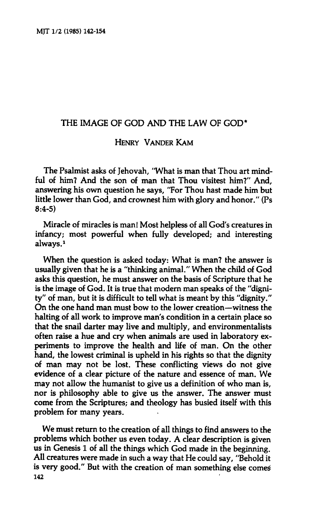## **THE IMAGE OF GOD AND THE LAW OF GOD\***

## **HENRY VANDER KAM**

**The Psalmist asks of Jehovah, "What is man that Thou art mindful of him? And the son of man that Thou visitest him?" And, answering his own question he says, "For Thou hast made him but little lower than God, and crownest him with glory and honor." (Ps 8:4-5)** 

**Miracle of miracles is man! Most helpless of all God's creatures in infancy; most powerful when fully developed; and interesting always.<sup>1</sup>**

**When the question is asked today: What is man? the answer is usually given that he is a "thinking animal." When the child of God asks this question, he must answer on the basis of Scripture that he is the image of God. It is true that modern man speaks of the "dignity" of man, but it is difficult to tell what is meant by this "dignity." On the one hand man must bow to the lower creation—witness the halting of all work to improve man's condition in a certain place so that the snail darter may live and multiply, and environmentalists often raise a hue and cry when animals are used in laboratory experiments to improve the health and life of man. On the other hand, the lowest criminal is upheld in his rights so that the dignity of man may not be lost. These conflicting views do not give evidence of a clear picture of the nature and essence of man. We may not allow the humanist to give us a definition of who man is, nor is philosophy able to give us the answer. The answer must come from the Scriptures; and theology has busied itself with this problem for many years.** 

**We must return to the creation of all things to find answers to the problems which bother us even today. A clear description is given us in Genesis 1 of all the things which God made in the beginning. All creatures were made in such a way that He could say, "Behold it is very good." But with the creation of man something else comeé 142**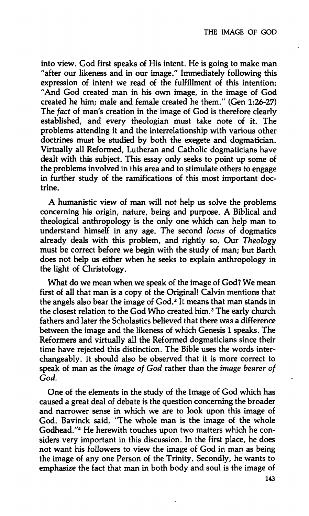**into view. God first speaks of His intent. He is going to make man "after our likeness and in our image." Immediately following this expression of intent we read of the fulfillment of this intention: "And God created man in his own image, in the image of God created he him; male and female created he them." (Gen 1:26-27) The** *fact* **of man's creation in the image of God is therefore clearly established, and every theologian must take note of it. The problems attending it and the interrelationship with various other doctrines must be studied by both the exegete and dogmatician. Virtually all Reformed, Lutheran and Catholic dogmaticians have dealt with this subject. This essay only seeks to point up some of the problems involved in this area and to stimulate others to engage in further study of the ramifications of this most important doctrine.** 

**A humanistic view of man will not help us solve the problems concerning his origin, nature, being and purpose. A Biblical and theological anthropology is the only one which can help man to understand himself in any age. The second** *locus* **of dogmatics already deals with this problem, and rightly so. Our** *Theology*  **must be correct before we begin with the study of man; but Barth does not help us either when he seeks to explain anthropology in the light of Christology.** 

**What do we mean when we speak of the image of God? We mean first of all that man is a copy of the Original! Calvin mentions that the angels also bear the image of God.<sup>2</sup> It means that man stands in the closest relation to the God Who created him.<sup>3</sup> The early church fathers and later the Scholastics believed that there was a difference between the image and the likeness of which Genesis 1 speaks. The Reformers and virtually all the Reformed dogmaticians since their time have rejected this distinction. The Bible uses the words interchangeably. It should also be observed that it is more correct to speak of man as the** *image of God* **rather than the** *image bearer of God.* 

**One of the elements in the study of the Image of God which has caused a great deal of debate is the question concerning the broader and narrower sense in which we are to look upon this image of God. Bavinck said, 'The whole man is the image of the whole Godhead."<sup>4</sup> He herewith touches upon two matters which he considers very important in this discussion. In the first place, he does not want his followers to view the image of God in man as being the image of any one Person of the Trinity. Secondly, he wants to emphasize the fact that man in both body and soul is the image of**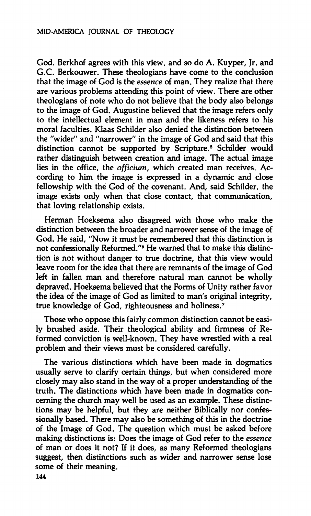**God. Berkhof agrees with this view, and so do A. Kuyper, Jr. and G.C. Berkouwer. These theologians have come to the conclusion that the image of God is the** *essence* **of man. They realize that there are various problems attending this point of view. There are other theologians of note who do not believe that the body also belongs to the image of God. Augustine believed that the image refers only to the intellectual element in man and the likeness refers to his moral faculties. Klaas Schilder also denied the distinction between the "wider" and "narrower" in the image of God and said that this distinction cannot be supported by Scripture.<sup>5</sup> Schilder would rather distinguish between creation and image. The actual image lies in the office, the** *officium,* **which created man receives. According to him the image is expressed in a dynamic and close fellowship with the God of the covenant. And, said Schilder, the image exists only when that close contact, that communication, that loving relationship exists.** 

**Herman Hoeksema also disagreed with those who make the distinction between the broader and narrower sense of the image of God. He said, "Now it must be remembered that this distinction is not confessionally Reformed."<sup>6</sup> He warned that to make this distinction is not without danger to true doctrine, that this view would leave room for the idea that there are remnants of the image of God left in fallen man and therefore natural man cannot be wholly depraved. Hoeksema believed that the Forms of Unity rather favor the idea of the image of God as limited to man's original integrity, true knowledge of God, righteousness and holiness.<sup>7</sup>**

**Those who oppose this fairly common distinction cannot be easily brushed aside. Their theological ability and firmness of Reformed conviction is well-known. They have wrestled with a real problem and their views must be considered carefully.** 

**The various distinctions which have been made in dogmatics usually serve to clarify certain things, but when considered more closely may also stand in the way of a proper understanding of the truth. The distinctions which have been made in dogmatics concerning the church may well be used as an example. These distinctions may be helpful, but they are neither Biblically nor confessionally based. There may also be something of this in the doctrine of the Image of God. The question which must be asked before making distinctions is: Does the image of God refer to the** *essence*  **of man or does it not? If it does, as many Reformed theologians suggest, then distinctions such as wider and narrower sense lose some of their meaning.**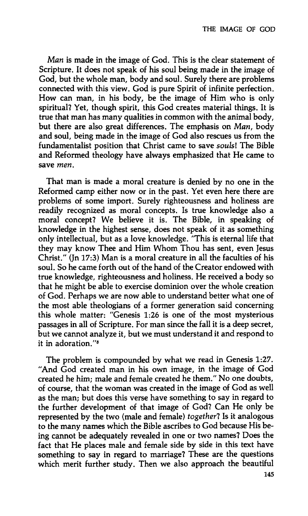*Man* **is made in the image of God. This is the clear statement of Scripture. It does not speak of his soul being made in the image of God, but the whole man, body and soul. Surely there are problems connected with this view. God is pure Spirit of infinite perfection. How can man, in his body, be the image of Him who is only spiritual? Yet, though spirit, this God creates material things. It is true that man has many qualities in common with the animal body, but there are also great differences. The emphasis on** *Man,* **body and soul, being made in the image of God also rescues us from the fundamentalist position that Christ came to save** *soulsl* **The Bible and Reformed theology have always emphasized that He came to save** *men.* 

**That man is made a moral creature is denied by no one in the Reformed camp either now or in the past. Yet even here there are problems of some import. Surely righteousness and holiness are readily recognized as moral concepts. Is true knowledge also a moral concept? We believe it is. The Bible, in speaking of knowledge in the highest sense, does not speak of it as something only intellectual, but as a love knowledge. "This is eternal life that they may know Thee and Him Whom Thou has sent, even Jesus Christ." (Jn 17:3) Man is a moral creature in all the faculties of his soul. So he came forth out of the hand of the Creator endowed with true knowledge, righteousness and holiness. He received a body so that he might be able to exercise dominion over the whole creation of God. Perhaps we are now able to understand better what one of the most able theologians of a former generation said concerning this whole matter: "Genesis 1:26 is one of the most mysterious passages in all of Scripture. For man since the fall it is a deep secret, but we cannot analyze it, but we must understand it and respond to it in adoration."<sup>8</sup>**

**The problem is compounded by what we read in Genesis 1:27. "And God created man in his own image, in the image of God created he him; male and female created he them." No one doubts, of course, that the woman was created in the image of God as well as the man; but does this verse have something to say in regard to the further development of that image of God? Can He only be represented by the two (male and female)** *together!* **Is it analogous to the many names which the Bible ascribes to God because His being cannot be adequately revealed in one or two names? Does the fact that He places male and female side by side in this text have something to say in regard to marriage? These are the questions which merit further study. Then we also approach the beautiful**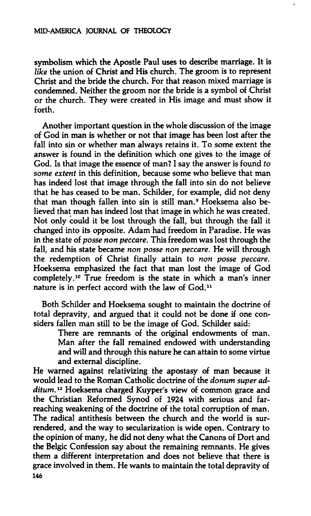**symbolism which the Apostle Paul uses to describe marriage. It is**  *like* **the union of Christ and His church. The groom is to represent Christ and the bride the church. For that reason mixed marriage is condemned. Neither the groom nor the bride is a symbol of Christ or the church. They were created in His image and must show it forth.** 

**Another important question in the whole discussion of the image of God in man is whether or not that image has been lost after the fall into sin or whether man always retains it. To some extent the answer is found in the definition which one gives to the image of God. Is that image the essence of man? I say the answer is found** *to some extent* **in this definition, because some who believe that man has indeed lost that image through the fall into sin do not believe that he has ceased to be man. Schilder, for example, did not deny that man though fallen into sin is still man.<sup>9</sup> Hoeksema also believed that man has indeed lost that image in which he was created. Not only could it be lost through the fall, but through the fall it changed into its opposite. Adam had freedom in Paradise. He was in the state of** *posse non peccare.* **This freedom was lost through the fall, and his state became** *non posse non peccare.* **He will through the redemption of Christ finally attain to** *non posse peccare.*  **Hoeksema emphasized the fact that man lost the image of God completely.<sup>10</sup> True freedom is the state in which a man's inner nature is in perfect accord with the law of God.<sup>11</sup>**

**Both Schilder and Hoeksema sought to maintain the doctrine of total depravity, and argued that it could not be done if one considers fallen man still to be the image of God. Schilder said:** 

> **There are remnants of the original endowments of man. Man after the fall remained endowed with understanding and will and through this nature he can attain to some virtue and external discipline.**

**He warned against relativizing the apostasy of man because it would lead to the Roman Catholic doctrine of the** *donum super additum.***<sup>12</sup> Hoeksema charged Kuyper's view of common grace and the Christian Reformed Synod of 1924 with serious and farreaching weakening of the doctrine of the total corruption of man. The radical antithesis between the church and the world is surrendered, and the way to secularization is wide open. Contrary to the opinion of many, he did not deny what the Canons of Dort and the Belgic Confession say about the remaining remnants. He gives them a different interpretation and does not believe that there is grace involved in them. He wants to maintain the total depravity of 146**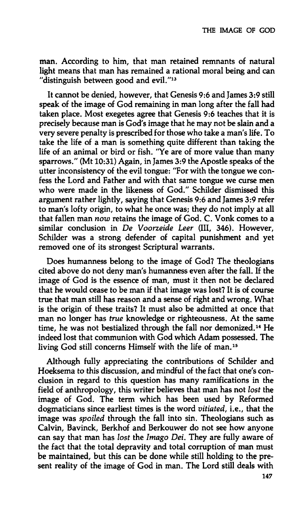**man. According to him, that man retained remnants of natural light means that man has remained a rational moral being and can "distinguish between good and evil."<sup>13</sup>**

**It cannot be denied, however, that Genesis 9:6 and James 3:9 still speak of the image of God remaining in man long after the fall had taken place. Most exegetes agree that Genesis 9:6 teaches that it is precisely because man is God's image that he may not be slain and a very severe penalty is prescribed for those who take a man's life. To take the life of a man is something quite different than taking the life of an animal or bird or fish. "Ye are of more value than many sparrows." (Mt 10:31) Again, in James 3:9 the Apostle speaks of the utter inconsistency of the evil tongue: "For with the tongue we confess the Lord and Father and with that same tongue we curse men who were made in the likeness of God." Schilder dismissed this argument rather lightly, saying that Genesis 9:6 and James 3:9 refer to man's lofty origin, to what he once was; they do not imply at all that fallen man** *now* **retains the image of God. C. Vonk comes to a similar conclusion in** *De Voorzeide Leer* **(III, 346). However, Schilder was a strong defender of capital punishment and yet removed one of its strongest Scriptural warrants.** 

**Does humanness belong to the image of God? The theologians cited above do not deny man's humanness even after the fall. If the image of God is the essence of man, must it then not be declared that he would cease to be man if that image was lost? It is of course true that man still has reason and a sense of right and wrong. What is the origin of these traits? It must also be admitted at once that man no longer has** *true* **knowledge or righteousness. At the same time, he was not bestialized through the fall nor demonized.<sup>14</sup> He indeed lost that communion with God which Adam possessed. The living God still concerns Himself with the life of man.<sup>15</sup>**

**Although fully appreciating the contributions of Schilder and Hoeksema to this discussion, and mindful of the fact that one's conclusion in regard to this question has many ramifications in the field of anthropology, this writer believes that man has not** *lost* **the image of God. The term which has been used by Reformed dogmaticians since earliest times is the word** *vitiated,* **i.e., that the image was** *spoiled* **through the fall into sin. Theologians such as Calvin, Bavinck, Berkhof and Berkouwer do not see how anyone can say that man has** *lost* **the** *Imago Dei.* **They are fully aware of the fact that the total depravity and total corruption of man must be maintained, but this can be done while still holding to the present reality of the image of God in man. The Lord still deals with**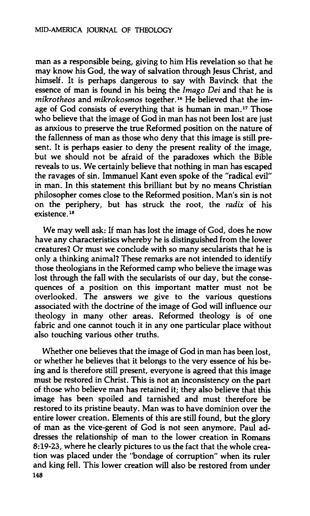**man as a responsible being, giving to him His revelation so that he may know his God, the way of salvation through Jesus Christ, and himself. It is perhaps dangerous to say with Bavinck that the essence of man is found in his being the** *Imago Dei* **and that he is**  *mikrotheos* **and** *mikrokosmos* **together.<sup>16</sup> He believed that the image of God consists of everything that is human in man.<sup>17</sup> Those who believe that the image of God in man has not been lost are just as anxious to preserve the true Reformed position on the nature of the fallenness of man as those who deny that this image is still present. It is perhaps easier to deny the present reality of the image, but we should not be afraid of the paradoxes which the Bible reveals to us. We certainly believe that nothing in man has escaped the ravages of sin. Immanuel Kant even spoke of the "radical evil" in man. In this statement this brilliant but by no means Christian philosopher comes close to the Reformed position. Man's sin is not on the periphery, but has struck the root, the** *radix* **of his existence.<sup>18</sup>**

**We may well ask: If man has lost the image of God, does he now have any characteristics whereby he is distinguished from the lower creatures? Or must we conclude with so many secularists that he is only a thinking animal? These remarks are not intended to identify those theologians in the Reformed camp who believe the image was lost through the fall with the secularists of our day, but the consequences of a position on this important matter must not be overlooked. The answers we give to the various questions associated with the doctrine of the image of God will influence our theology in many other areas. Reformed theology is of one fabric and one cannot touch it in any one particular place without also touching various other truths.** 

**Whether one believes that the image of God in man has been lost, or whether he believes that it belongs to the very essence of his being and is therefore still present, everyone is agreed that this image must be restored in Christ. This is not an inconsistency on the part of those who believe man has retained it; they also believe that this image has been spoiled and tarnished and must therefore be restored to its pristine beauty. Man was to have dominion over the entire lower creation. Elements of this are still found, but the glory of man as the vice-gerent of God is not seen anymore. Paul addresses the relationship of man to the lower creation in Romans 8:19-23, where he clearly pictures to us the fact that the whole creation was placed under the "bondage of corruption" when its ruler and king fell. This lower creation will also be restored from under 148**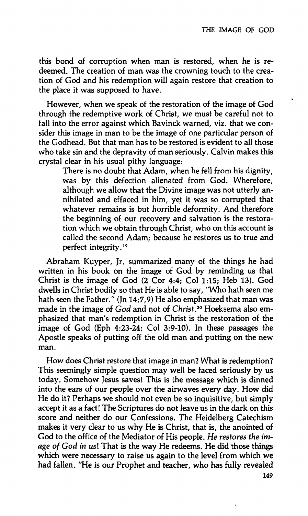**this bond of corruption when man is restored, when he is redeemed. The creation of man was the crowning touch to the creation of God and his redemption will again restore that creation to the place it was supposed to have.** 

**However, when we speak of the restoration of the image of God through the redemptive work of Christ, we must be careful not to fall into the error against which Bavinck warned, viz. that we consider this image in man to be the image of one particular person of the Godhead. But that man has to be restored is evident to all those who take sin and the depravity of man seriously. Calvin makes this crystal clear in his usual pithy language:** 

> **There is no doubt that Adam, when he fell from his dignity, was by this defection alienated from God. Wherefore, although we allow that the Divine image was not utterly annihilated and effaced in him, yet it was so corrupted that whatever remains is but horrible deformity. And therefore the beginning of our recovery and salvation is the restoration which we obtain through Christ, who on this account is called the second Adam; because he restores us to true and perfect integrity.<sup>19</sup>**

**Abraham Kuyper, Jr. summarized many of the things he had written in his book on the image of God by reminding us that Christ is the image of God (2 Cor 4:4; Col 1:15; Heb 13). God dwells in Christ bodily so that He is able to say, "Who hath seen me hath seen the Father." (Jn 14:7,9) He also emphasized that man was made in the image of** *God* **and not of** *Christ.<sup>20</sup>* **Hoeksema also emphasized that man's redemption in Christ is the restoration of the image of God (Eph 4:23-24; Col 3:9-10). In these passages the Apostle speaks of putting off the old man and putting on the new man.** 

**How does Christ restore that image in man? What is redemption? This seemingly simple question may well be faced seriously by us today. Somehow Jesus saves! This is the message which is dinned into the ears of our people over the airwaves every day. How did He do it? Perhaps we should not even be so inquisitive, but simply accept it as a fact! The Scriptures do not leave us in the dark on this score and neither do our Confessions. The Heidelberg Catechism makes it very clear to us why He is Christ, that is, the anointed of God to the office of the Mediator of His people.** *He restores the image of God in us\* **That is the way He redeems. He did those things which were necessary to raise us again to the level from which we had fallen. "He is our Prophet and teacher, who has fully revealed** 

**149**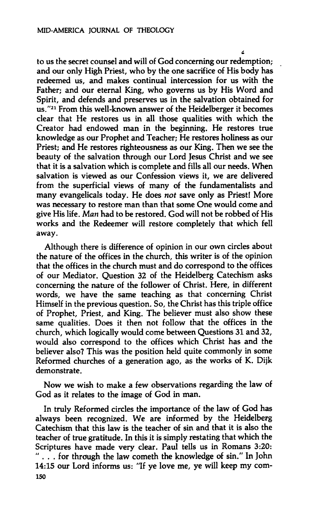**to us the secret counsel and will of God concerning our redemption; and our only High Priest, who by the one sacrifice of His body has redeemed us, and makes continual intercession for us with the Father; and our eternal King, who governs us by His Word and Spirit, and defends and preserves us in the salvation obtained for us."<sup>21</sup> From this well-known answer of the Heidelberger it becomes clear that He restores us in all those qualities with which the Creator had endowed man in the beginning. He restores true knowledge as our Prophet and Teacher; He restores holiness as our Priest; and He restores righteousness as our King. Then we see the beauty of the salvation through our Lord Jesus Christ and we see that it is a salvation which is complete and fills all our needs. When salvation is viewed as our Confession views it, we are delivered from the superficial views of many of the fundamentalists and many evangelicals today. He does** *not* **save only as Priest! More was necessary to restore man than that some One would come and give His life.** *Man* **had to be restored. God will not be robbed of His works and the Redeemer will restore completely that which fell away.** 

**Although there is difference of opinion in our own circles about the nature of the offices in the church, this writer is of the opinion that the offices in the church must and do correspond to the offices of our Mediator. Question 32 of the Heidelberg Catechism asks concerning the nature of the follower of Christ. Here, in different words, we have the same teaching as that concerning Christ Himself in the previous question. So, the Christ has this triple office of Prophet, Priest, and King. The believer must also show these same qualities. Does it then not follow that the offices in the church, which logically would come between Questions 31 and 32, would also correspond to the offices which Christ has and the believer also? This was the position held quite commonly in some Reformed churches of a generation ago, as the works of K. Dijk demonstrate.** 

**Now we wish to make a few observations regarding the law of God as it relates to the image of God in man.** 

**In truly Reformed circles the importance of the law of God has always been recognized. We are informed by the Heidelberg Catechism that this law is the teacher of sin and that it is also the teacher of true gratitude. In this it is simply restating that which the Scriptures have made very clear. Paul tells us in Romans 3:20: " . . . for through the law cometh the knowledge of sin." In John 14:15 our Lord informs us: "If ye love me, ye will keep my corn-ISO**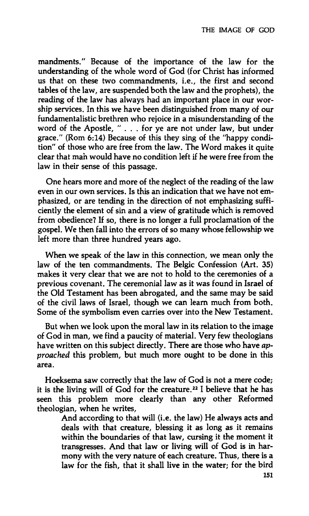**mandments." Because of the importance of the law for the understanding of the whole word of God (for Christ has informed us that on these two commandments, i.e., the first and second tables of the law, are suspended both the law and the prophets), the reading of the law has always had an important place in our worship services. In this we have been distinguished from many of our fundamen talis tic brethren who rejoice in a misunderstanding of the word of the Apostle, " . . . for ye are not under law, but under grace/' (Rom 6:14) Because of this they sing of the "happy condition" of those who are free from the law. The Word makes it quite clear that man would have no condition left if he were free from the law in their sense of this passage.** 

**One hears more and more of the neglect of the reading of the law even in our own services. Is this an indication that we have not emphasized, or are tending in the direction of not emphasizing sufficiently the element of sin and a view of gratitude which is removed from obedience? If so, there is no longer a full proclamation of the gospel. We then fall into the errors of so many whose fellowship we left more than three hundred years ago.** 

**When we speak of the law in this connection, we mean only the law of the ten commandments. The Belgic Confession (Art. 35) makes it very clear that we are not to hold to the ceremonies of a previous covenant. The ceremonial law as it was found in Israel of the Old Testament has been abrogated, and the same may be said of the civil laws of Israel, though we can learn much from both. Some of the symbolism even carries over into the New Testament.** 

**But when we look upon the moral law in its relation to the image of God in man, we find a paucity of material. Very few theologians have written on this subject directly. There are those who have** *approached* **this problem, but much more ought to be done in this area.** 

**Hoeksema saw correctly that the law of God is not a mere code; it is the living will of God for the creature.<sup>22</sup>1 believe that he has seen this problem more clearly than any other Reformed theologian, when he writes.** 

> **And according to that will (i.e. the law) He always acts and deals with that creature, blessing it as long as it remains within the boundaries of that law, cursing it the moment it transgresses. And that law or living will of God is in harmony with the very nature of each creature. Thus, there is a law for the fish, that it shall live in the water; for the bird**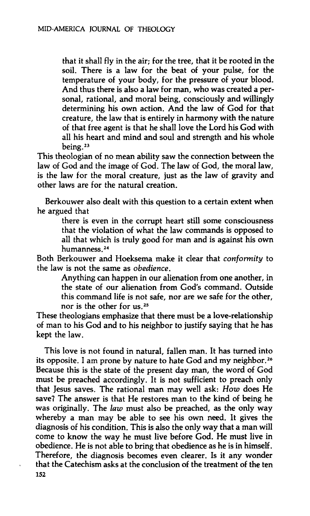**that it shall fly in the air; for the tree, that it be rooted in the soil. There is a law for the beat of your pulse, for the temperature of your body, for the pressure of your blood. And thus there is also a law for man, who was created a personal, rational, and moral being, consciously and willingly determining his own action. And the law of God for that creature, the law that is entirely in harmony with the nature of that free agent is that he shall love the Lord his God with all his heart and mind and soul and strength and his whole being.<sup>23</sup>**

**This theologian of no mean ability saw the connection between the law of God and the image of God. The law of God, the moral law, is the law for the moral creature, just as the law of gravity and other laws are for the natural creation.** 

**Berkouwer also dealt with this question to a certain extent when he argued that** 

> **there is even in the corrupt heart still some consciousness that the violation of what the law commands is opposed to all that which is truly good for man and is against his own humanness.<sup>24</sup>**

**Both Berkouwer and Hoeksema make it clear that** *conformity* **to the law is not the same as** *obedience.* 

> **Anything can happen in our alienation from one another, in the state of our alienation from God's command. Outside this command life is not safe, nor are we safe for the other, nor is the other for us.<sup>25</sup>**

**These theologians emphasize that there must be a love-relationship of man to his God and to his neighbor to justify saying that he has kept the law.** 

**This love is not found in natural, fallen man. It has turned into its opposite. I am prone by nature to hate God and my neighbor.<sup>26</sup> Because this is the state of the present day man, the word of God must be preached accordingly. It is not sufficient to preach only that Jesus saves. The rational man may well ask:** *How* **does He save? The answer is that He restores man to the kind of being he was originally. The** *law* **must also be preached, as the only way whereby a man may be able to see his own need. It gives the diagnosis of his condition. This is also the only way that a man will come to know the way he must live before God. He must live in obedience. He is not able to bring that obedience as he is in himself. Therefore, the diagnosis becomes even clearer. Is it any wonder that the Catechism asks at the conclusion of the treatment of the ten 152**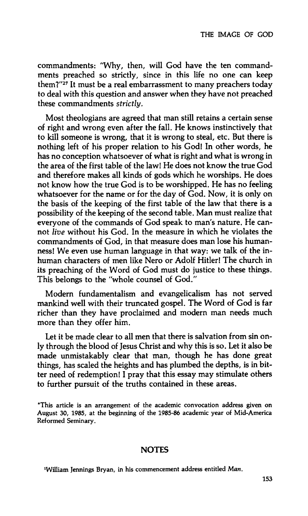**commandments: "Why, then, will God have the ten commandments preached so strictly, since in this life no one can keep them?"<sup>27</sup> It must be a real embarrassment to many preachers today to deal with this question and answer when they have not preached these commandments** *strictly.* 

**Most theologians are agreed that man still retains a certain sense of right and wrong even after the fall. He knows instinctively that to kill someone is wrong, that it is wrong to steal, etc. But there is nothing left of his proper relation to his God! In other words, he has no conception whatsoever of what is right and what is wrong in the area of the first table of the law! He does not know the true God and therefore makes all kinds of gods which he worships. He does not know how the true God is to be worshipped. He has no feeling whatsoever for the name or for the day of God. Now, it is only on the basis of the keeping of the first table of the law that there is a possibility of the keeping of the second table. Man must realize that everyone of the commands of God speak to man's nature. He cannot** *live* **without his God. In the measure in which he violates the commandments of God, in that measure does man lose his humanness! We even use human language in that way: we talk of the inhuman characters of men like Nero or Adolf Hitler! The church in its preaching of the Word of God must do justice to these things. This belongs to the "whole counsel of God."** 

**Modern fundamentalism and evangelicalism has not served mankind well with their truncated gospel. The Word of God is far richer than they have proclaimed and modern man needs much more than they offer him.** 

**Let it be made clear to all men that there is salvation from sin only through the blood of Jesus Christ and why this is so. Let it also be made unmistakably clear that man, though he has done great things, has scaled the heights and has plumbed the depths, is in bitter need of redemption! I pray that this essay may stimulate others to further pursuit of the truths contained in these areas.** 

## **NOTES**

**William Jennings Bryan, in his commencement address entitled** *Man.* 

**<sup>\*</sup>This article is an arrangement of the academic convocation address given on August 30, 1985, at the beginning of the 1985-86 academic year of Mid-America Reformed Seminary.**